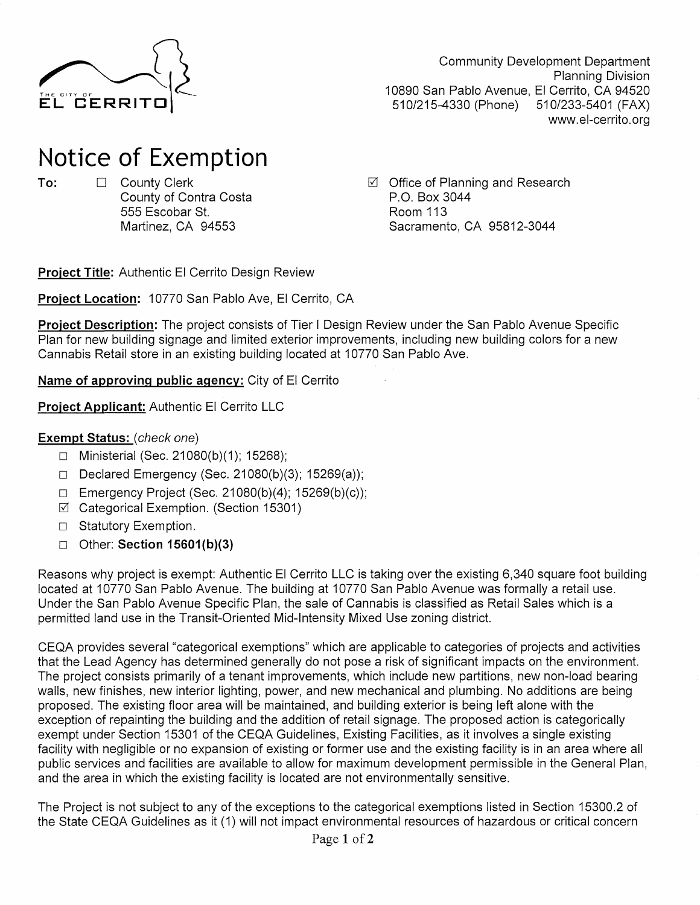

## **Notice of Exemption**

To: □ County Clerk County of Contra Costa 555 Escobar St. Martinez, CA 94553

Community Development Department Planning Division 10890 San Pablo Avenue, El Cerrito, CA 94520 510/215-4330 (Phone) 510/233-5401 (FAX) www.el-cerrito.org

 $\boxtimes$  Office of Planning and Research P.O. Box 3044 Room 113 Sacramento, CA 95812-3044

**Project Title:** Authentic El Cerrito Design Review

**Project Location:** 10770 San Pablo Ave, El Cerrito, CA

**Project Description:** The project consists of Tier I Design Review under the San Pablo Avenue Specific Plan for new building signage and limited exterior improvements, including new building colors for a new Cannabis Retail store in an existing building located at 10770 San Pablo Ave.

**Name of approving public agency:** City of El Cerrito

**Project Applicant:** Authentic El Cerrito LLC

## **Exempt Status:** (check one)

- **D** Ministerial (Sec. 21080(b)(1); 15268);
- D Declared Emergency (Sec. 21080(b)(3); 15269(a));
- $\Box$  Emergency Project (Sec. 21080(b)(4); 15269(b)(c));
- $\boxtimes$  Categorical Exemption. (Section 15301)
- □ Statutory Exemption.
- □ Other: **Section 15601(b)(3)**

Reasons why project is exempt: Authentic El Cerrito LLC is taking over the existing 6,340 square foot building located at 10770 San Pablo Avenue. The building at 10770 San Pablo Avenue was formally a retail use. Under the San Pablo Avenue Specific Plan, the sale of Cannabis is classified as Retail Sales which is a permitted land use in the Transit-Oriented Mid-Intensity Mixed Use zoning district.

CEQA provides several "categorical exemptions" which are applicable to categories of projects and activities that the Lead Agency has determined generally do not pose a risk of significant impacts on the environment. The project consists primarily of a tenant improvements, which include new partitions, new non-load bearing walls, new finishes, new interior lighting, power, and new mechanical and plumbing. No additions are being proposed. The existing floor area will be maintained, and building exterior is being left alone with the exception of repainting the building and the addition of retail signage. The proposed action is categorically exempt under Section 15301 of the CEQA Guidelines, Existing Facilities, as it involves a single existing facility with negligible or no expansion of existing or former use and the existing facility is in an area where all public services and facilities are available to allow for maximum development permissible in the General Plan, and the area in which the existing facility is located are not environmentally sensitive.

The Project is not subject to any of the exceptions to the categorical exemptions listed in Section 15300.2 of the State CEQA Guidelines as it (1) will not impact environmental resources of hazardous or critical concern